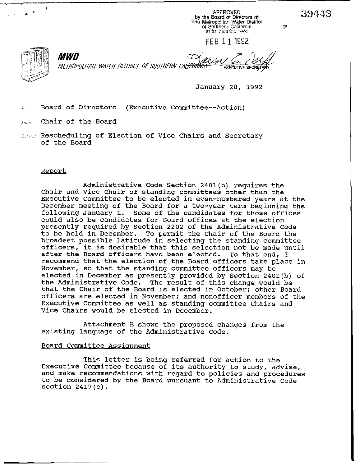$\Gamma$ 

MWD METROPOLITAN WATER DISTRICT OF SOUTHERN CAL<del>IFORNIA</del> **EXECUTIVE SECRETA** 

January 20, 1992

FEB 11 1992

APPROVED<br>In the Board of Directors of

The Matropolitan Water District<br>of Southern California

at its meeting held

 $J_{\partial}$  Board of Directors (Executive Committee--Action)

 $f_{\ell\theta m}$  - Chair of the Board -

 $s_{\phi \phi \phi \phi}$  Rescheduling of Election of Vice Chairs and Secretary of the Board

## Report

Administrative Code Section 2401(b) requires the Chair and Vice Chair of standing committees other than the Executive Committee to be elected in even-numbered years at the December meeting of the Board for a two-year term beginning the following January 1. Some of the candidates for those offices could also be candidates for Board offices at the election presently required by Section 2202 of the Administrative Code to be held in December. To permit the Chair of the Board the broadest possible latitude in selecting the standing **committee**  officers, it is desirable that this selection not be made until after the Board officers have been elected. To that end, I recommend that the election of the Board officers take place in November, so that the standing committee officers may be elected in December as presently provided by Section 2401(b) of<br>the Administrative Code. The result of this change would be The result of this change would be that the Chair of the Board is elected in October: other Board officers are elected in November: and nonofficer members of the Executive Committee as well as standing committee Chairs and Vice Chairs would be elected in December.

Attachment B shows the proposed changes from the existing language of the Administrative Code.

## Board Committee Assignment

This letter is being referred for action to the Executive Committee because of its authority to study, advise, and make recommendations with regard to policies and procedures to be considered by the Board pursuant to Administrative Code section 2417(e).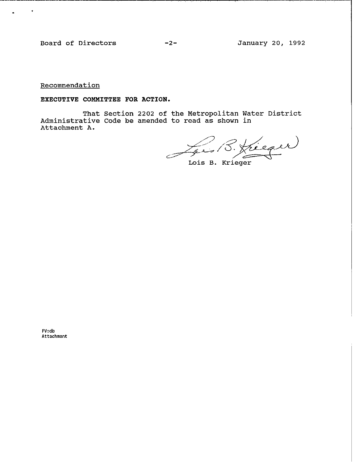**Board of Directors -2- January 20, 1992** 

 $\sim$   $\bullet$ 

 $\ddot{\phantom{a}}$ 

**Recommendation** 

**EXECUTIVE COMMITTEE FOR ACTION.** 

**That Section 2202 of the Metropolitan Administrative Code be amended to read as shown Attachment A. Water District in** 

 $\frac{1}{2^{e}}$  B. Jueger

**Lois B. Krieger** 

**FV:db Attachment**